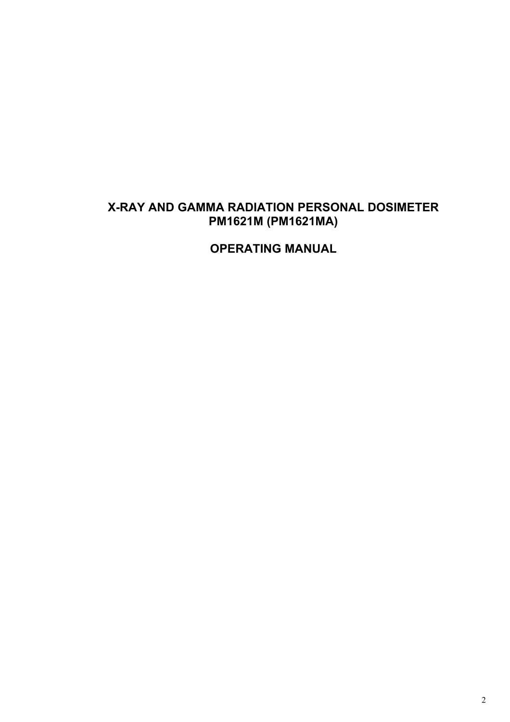## **X-RAY AND GAMMA RADIATION PERSONAL DOSIMETER РМ1621M (PM1621MA)**

**OPERATING MANUAL**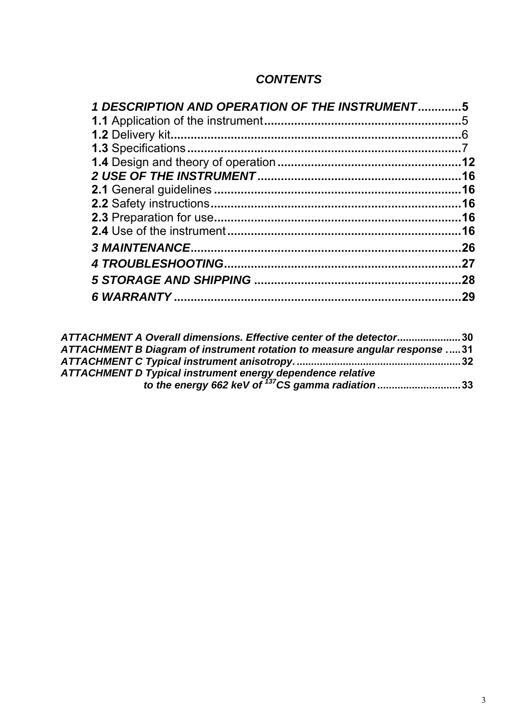## *CONTENTS*

| 1 DESCRIPTION AND OPERATION OF THE INSTRUMENT5 |     |
|------------------------------------------------|-----|
|                                                |     |
|                                                |     |
|                                                |     |
|                                                |     |
|                                                |     |
|                                                |     |
|                                                |     |
|                                                |     |
|                                                |     |
|                                                | .26 |
|                                                | .27 |
|                                                | .28 |
|                                                | 29  |

| ATTACHMENT A Overall dimensions. Effective center of the detector30        |  |
|----------------------------------------------------------------------------|--|
| ATTACHMENT B Diagram of instrument rotation to measure angular response 31 |  |
|                                                                            |  |
| ATTACHMENT D Typical instrument energy dependence relative                 |  |
| to the energy 662 keV of <sup>137</sup> CS gamma radiation33               |  |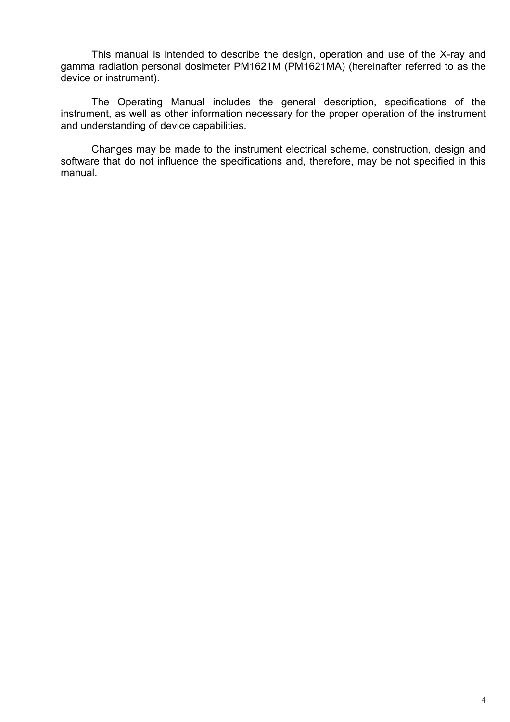This manual is intended to describe the design, operation and use of the X-ray and gamma radiation personal dosimeter PM1621M (PM1621MA) (hereinafter referred to as the device or instrument).

The Operating Manual includes the general description, specifications of the instrument, as well as other information necessary for the proper operation of the instrument and understanding of device capabilities.

Changes may be made to the instrument electrical scheme, construction, design and software that do not influence the specifications and, therefore, may be not specified in this manual.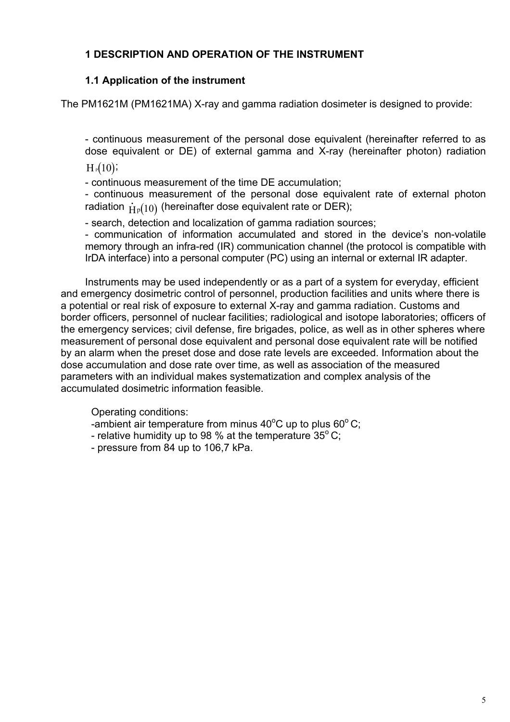## **1 DESCRIPTION AND OPERATION OF THE INSTRUMENT**

## **1.1 Application of the instrument**

The PM1621M (PM1621MA) X-ray and gamma radiation dosimeter is designed to provide:

- continuous measurement of the personal dose equivalent (hereinafter referred to as dose equivalent or DE) of external gamma and X-ray (hereinafter photon) radiation  $H_P(10)$ 

- continuous measurement of the time DE accumulation;

- continuous measurement of the personal dose equivalent rate of external photon radiation  $\dot{\mathrm{H}}_{\mathrm{P}}(10)$  (hereinafter dose equivalent rate or DER);

- search, detection and localization of gamma radiation sources;

- communication of information accumulated and stored in the device's non-volatile memory through an infra-red (IR) communication channel (the protocol is compatible with IrDA interface) into a personal computer (PC) using an internal or external IR adapter.

Instruments may be used independently or as a part of a system for everyday, efficient and emergency dosimetric control of personnel, production facilities and units where there is a potential or real risk of exposure to external X-ray and gamma radiation. Customs and border officers, personnel of nuclear facilities; radiological and isotope laboratories; officers of the emergency services; civil defense, fire brigades, police, as well as in other spheres where measurement of personal dose equivalent and personal dose equivalent rate will be notified by an alarm when the preset dose and dose rate levels are exceeded. Information about the dose accumulation and dose rate over time, as well as association of the measured parameters with an individual makes systematization and complex analysis of the accumulated dosimetric information feasible.

Operating conditions:

-ambient air temperature from minus 40°C up to plus 60°C;

- relative humidity up to 98 % at the temperature  $35^{\circ}$  C;
- pressure from 84 up to 106,7 kPa.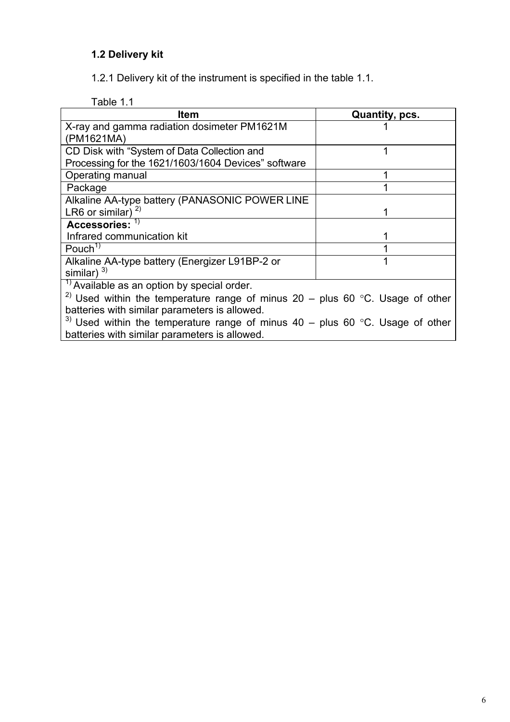## **1.2 Delivery kit**

1.2.1 Delivery kit of the instrument is specified in the table 1.1.

Table 1.1

| Item                                                                                       | Quantity, pcs. |
|--------------------------------------------------------------------------------------------|----------------|
| X-ray and gamma radiation dosimeter PM1621M                                                |                |
| (PM1621MA)                                                                                 |                |
| CD Disk with "System of Data Collection and                                                |                |
| Processing for the 1621/1603/1604 Devices" software                                        |                |
| Operating manual                                                                           |                |
| Package                                                                                    |                |
| Alkaline AA-type battery (PANASONIC POWER LINE                                             |                |
| LR6 or similar) $^{2)}$                                                                    |                |
| Accessories: $^{-1}$                                                                       |                |
| Infrared communication kit                                                                 |                |
| Pouch <sup>1)</sup>                                                                        |                |
| Alkaline AA-type battery (Energizer L91BP-2 or                                             |                |
| similar) $^{3)}$                                                                           |                |
| <sup>1)</sup> Available as an option by special order.                                     |                |
| <sup>2)</sup> Used within the temperature range of minus $20 -$ plus 60 °C. Usage of other |                |
| batteries with similar parameters is allowed.                                              |                |
| <sup>3)</sup> Used within the temperature range of minus $40 -$ plus 60 °C. Usage of other |                |
| batteries with similar parameters is allowed.                                              |                |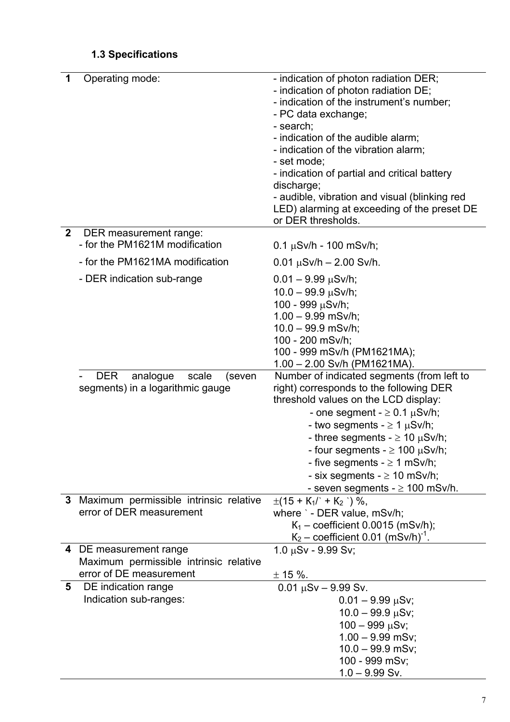# **1.3 Specifications**

| 1            | Operating mode:                                                               | - indication of photon radiation DER;<br>- indication of photon radiation DE;<br>- indication of the instrument's number;<br>- PC data exchange;<br>- search;<br>- indication of the audible alarm;<br>- indication of the vibration alarm;<br>- set mode;<br>- indication of partial and critical battery<br>discharge;<br>- audible, vibration and visual (blinking red<br>LED) alarming at exceeding of the preset DE<br>or DER thresholds. |
|--------------|-------------------------------------------------------------------------------|------------------------------------------------------------------------------------------------------------------------------------------------------------------------------------------------------------------------------------------------------------------------------------------------------------------------------------------------------------------------------------------------------------------------------------------------|
| $\mathbf{2}$ | DER measurement range:<br>- for the PM1621M modification                      | $0.1 \mu Sv/h - 100 \text{ mSv/h}$ ;                                                                                                                                                                                                                                                                                                                                                                                                           |
|              | - for the PM1621MA modification                                               | $0.01 \mu Sv/h - 2.00 \text{ Sv/h}.$                                                                                                                                                                                                                                                                                                                                                                                                           |
|              | - DER indication sub-range                                                    | $0.01 - 9.99 \mu Sv/h;$<br>$10.0 - 99.9 \,\mu\text{Sv/h}$ ;<br>100 - 999 µSv/h;<br>$1.00 - 9.99$ mSv/h;<br>$10.0 - 99.9$ mSv/h;<br>100 - 200 mSv/h;<br>100 - 999 mSv/h (PM1621MA);<br>1.00 - 2.00 Sv/h (PM1621MA).                                                                                                                                                                                                                             |
|              | <b>DER</b><br>analogue<br>scale<br>(seven<br>segments) in a logarithmic gauge | Number of indicated segments (from left to<br>right) corresponds to the following DER<br>threshold values on the LCD display:<br>- one segment - $\geq$ 0.1 $\mu$ Sv/h;<br>- two segments - $\geq 1$ $\mu$ Sv/h;<br>- three segments - $\geq$ 10 $\mu$ Sv/h;<br>- four segments - $\geq 100 \mu Sv/h$ ;<br>- five segments $- \ge 1$ mSv/h;<br>- six segments - $\geq$ 10 mSv/h;<br>- seven segments $- \geq 100$ mSv/h.                       |
|              | 3 Maximum permissible intrinsic relative<br>error of DER measurement          | $\pm(15 + K_1)' + K_2'$ ) %,<br>where ` - DER value, mSv/h;<br>$K_1$ – coefficient 0.0015 (mSv/h);<br>$K_2$ – coefficient 0.01 (mSv/h) <sup>-1</sup> .                                                                                                                                                                                                                                                                                         |
|              | 4 DE measurement range                                                        | $1.0 \mu Sv - 9.99 Sv$ ;                                                                                                                                                                                                                                                                                                                                                                                                                       |
|              | Maximum permissible intrinsic relative<br>error of DE measurement             | $± 15 %$ .                                                                                                                                                                                                                                                                                                                                                                                                                                     |
| 5            | DE indication range<br>Indication sub-ranges:                                 | $0.01 \mu Sv - 9.99 Sv$ .<br>$0.01 - 9.99 \mu Sv$ ;<br>$10.0 - 99.9 \,\mu\text{S}v$ ;<br>$100 - 999 \mu Sv$ ;<br>$1.00 - 9.99$ mSv;<br>$10.0 - 99.9$ mSv;<br>100 - 999 mSv;<br>$1.0 - 9.99$ Sv.                                                                                                                                                                                                                                                |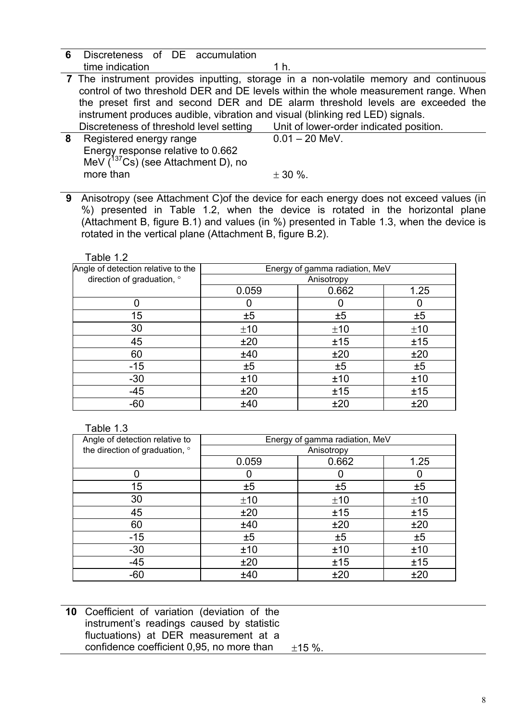**6** Discreteness of DE accumulation time indication 1 h.

 **7** The instrument provides inputting, storage in a non-volatile memory and continuous control of two threshold DER and DE levels within the whole measurement range. When the preset first and second DER and DE alarm threshold levels are exceeded the instrument produces audible, vibration and visual (blinking red LED) signals. Discreteness of threshold level setting Unit of lower-order indicated position.

| 8 Registered energy range               | $0.01 - 20$ MeV. |
|-----------------------------------------|------------------|
| Energy response relative to 0.662       |                  |
| MeV $(^{137}Cs)$ (see Attachment D), no |                  |
| more than                               | $\pm$ 30 %.      |
|                                         |                  |

**9** Anisotropy (see Attachment C)of the device for each energy does not exceed values (in %) presented in Table 1.2, when the device is rotated in the horizontal plane (Attachment B, figure B.1) and values (in %) presented in Table 1.3, when the device is rotated in the vertical plane (Attachment B, figure B.2).

Table 1.2

| Angle of detection relative to the |       | Energy of gamma radiation, MeV |      |
|------------------------------------|-------|--------------------------------|------|
| direction of graduation, °         |       | Anisotropy                     |      |
|                                    | 0.059 | 0.662                          | 1.25 |
|                                    | O     |                                | 0    |
| 15                                 | ±5    | ±5                             | ±5   |
| 30                                 | ±10   | ±10                            | ±10  |
| 45                                 | ±20   | ±15                            | ±15  |
| 60                                 | ±40   | ±20                            | ±20  |
| $-15$                              | ±5    | ±5                             | ±5   |
| $-30$                              | ±10   | ±10                            | ±10  |
| $-45$                              | ±20   | ±15                            | ±15  |
| $-60$                              | ±40   | ±20                            | ±20  |

## Table 1.3

| Angle of detection relative to |       | Energy of gamma radiation, MeV |      |
|--------------------------------|-------|--------------------------------|------|
| the direction of graduation, ° |       | Anisotropy                     |      |
|                                | 0.059 | 0.662                          | 1.25 |
| ი                              | 0     |                                | 0    |
| 15                             | ±5    | ±5                             | ±5   |
| 30                             | ±10   | ±10                            | ±10  |
| 45                             | ±20   | ±15                            | ±15  |
| 60                             | ±40   | ±20                            | ±20  |
| $-15$                          | ±5    | ±5                             | ±5   |
| $-30$                          | ±10   | ±10                            | ±10  |
| $-45$                          | ±20   | ±15                            | ±15  |
| $-60$                          | ±40   | ±20                            | ±20  |

| 10 Coefficient of variation (deviation of the |      |
|-----------------------------------------------|------|
| instrument's readings caused by statistic     |      |
| fluctuations) at DER measurement at a         |      |
| confidence coefficient 0,95, no more than     | ±15% |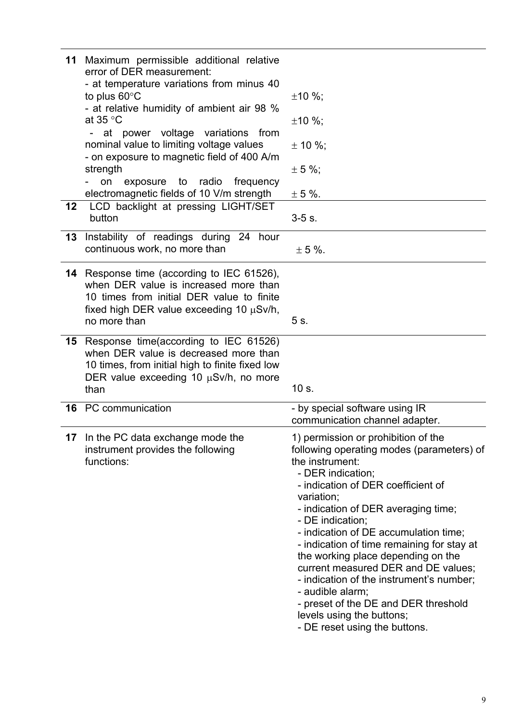| 11<br>12 | Maximum permissible additional relative<br>error of DER measurement:<br>- at temperature variations from minus 40<br>to plus $60^{\circ}$ C<br>- at relative humidity of ambient air 98 %<br>at 35 $\degree$ C<br>at power voltage variations from<br>nominal value to limiting voltage values<br>- on exposure to magnetic field of 400 A/m<br>strength<br>exposure to radio frequency<br>on<br>electromagnetic fields of 10 V/m strength<br>LCD backlight at pressing LIGHT/SET | ±10%;<br>$±10%$ ;<br>$\pm$ 10 %;<br>$± 5 \%$ ;<br>$\pm$ 5 %.                                                                                                                                                                                                                                                                                                                                                                                                                                                                                                                      |
|----------|-----------------------------------------------------------------------------------------------------------------------------------------------------------------------------------------------------------------------------------------------------------------------------------------------------------------------------------------------------------------------------------------------------------------------------------------------------------------------------------|-----------------------------------------------------------------------------------------------------------------------------------------------------------------------------------------------------------------------------------------------------------------------------------------------------------------------------------------------------------------------------------------------------------------------------------------------------------------------------------------------------------------------------------------------------------------------------------|
|          | button                                                                                                                                                                                                                                                                                                                                                                                                                                                                            | $3-5$ s.                                                                                                                                                                                                                                                                                                                                                                                                                                                                                                                                                                          |
| 13       | Instability of readings during 24<br>hour<br>continuous work, no more than                                                                                                                                                                                                                                                                                                                                                                                                        | $\pm$ 5 %.                                                                                                                                                                                                                                                                                                                                                                                                                                                                                                                                                                        |
|          | <b>14</b> Response time (according to IEC 61526),<br>when DER value is increased more than<br>10 times from initial DER value to finite<br>fixed high DER value exceeding 10 $\mu$ Sv/h,<br>no more than                                                                                                                                                                                                                                                                          | 5 s.                                                                                                                                                                                                                                                                                                                                                                                                                                                                                                                                                                              |
| 15       | Response time(according to IEC 61526)<br>when DER value is decreased more than<br>10 times, from initial high to finite fixed low<br>DER value exceeding 10 $\mu$ Sv/h, no more<br>than                                                                                                                                                                                                                                                                                           | 10 s.                                                                                                                                                                                                                                                                                                                                                                                                                                                                                                                                                                             |
|          | 16 PC communication                                                                                                                                                                                                                                                                                                                                                                                                                                                               | - by special software using IR<br>communication channel adapter.                                                                                                                                                                                                                                                                                                                                                                                                                                                                                                                  |
| 17       | In the PC data exchange mode the<br>instrument provides the following<br>functions:                                                                                                                                                                                                                                                                                                                                                                                               | 1) permission or prohibition of the<br>following operating modes (parameters) of<br>the instrument:<br>- DER indication;<br>- indication of DER coefficient of<br>variation;<br>- indication of DER averaging time;<br>- DE indication;<br>- indication of DE accumulation time;<br>- indication of time remaining for stay at<br>the working place depending on the<br>current measured DER and DE values;<br>- indication of the instrument's number;<br>- audible alarm;<br>- preset of the DE and DER threshold<br>levels using the buttons;<br>- DE reset using the buttons. |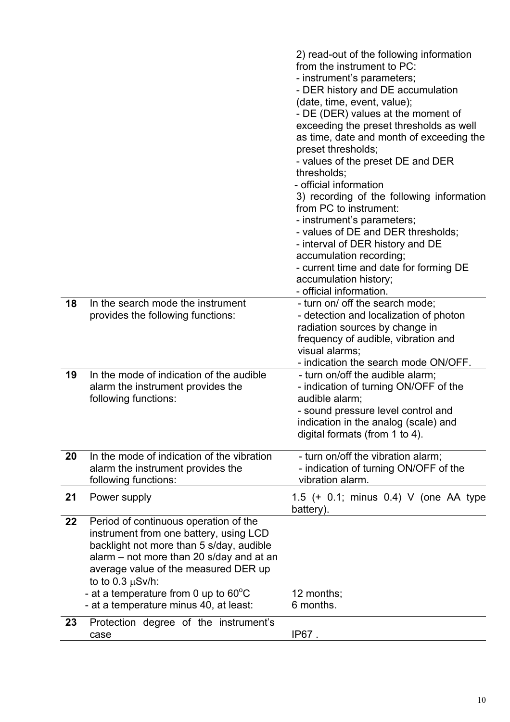|    |                                                                                                                                                                                                                                                                                                                                       | 2) read-out of the following information<br>from the instrument to PC:<br>- instrument's parameters;<br>- DER history and DE accumulation<br>(date, time, event, value);<br>- DE (DER) values at the moment of<br>exceeding the preset thresholds as well<br>as time, date and month of exceeding the<br>preset thresholds;<br>- values of the preset DE and DER<br>thresholds;<br>- official information<br>3) recording of the following information<br>from PC to instrument:<br>- instrument's parameters;<br>- values of DE and DER thresholds;<br>- interval of DER history and DE<br>accumulation recording;<br>- current time and date for forming DE<br>accumulation history;<br>- official information. |
|----|---------------------------------------------------------------------------------------------------------------------------------------------------------------------------------------------------------------------------------------------------------------------------------------------------------------------------------------|-------------------------------------------------------------------------------------------------------------------------------------------------------------------------------------------------------------------------------------------------------------------------------------------------------------------------------------------------------------------------------------------------------------------------------------------------------------------------------------------------------------------------------------------------------------------------------------------------------------------------------------------------------------------------------------------------------------------|
| 18 | In the search mode the instrument<br>provides the following functions:                                                                                                                                                                                                                                                                | - turn on/ off the search mode;<br>- detection and localization of photon<br>radiation sources by change in<br>frequency of audible, vibration and<br>visual alarms;<br>- indication the search mode ON/OFF.                                                                                                                                                                                                                                                                                                                                                                                                                                                                                                      |
| 19 | In the mode of indication of the audible<br>alarm the instrument provides the<br>following functions:                                                                                                                                                                                                                                 | - turn on/off the audible alarm;<br>- indication of turning ON/OFF of the<br>audible alarm;<br>- sound pressure level control and<br>indication in the analog (scale) and<br>digital formats (from 1 to 4).                                                                                                                                                                                                                                                                                                                                                                                                                                                                                                       |
| 20 | In the mode of indication of the vibration<br>alarm the instrument provides the<br>following functions:                                                                                                                                                                                                                               | - turn on/off the vibration alarm;<br>- indication of turning ON/OFF of the<br>vibration alarm.                                                                                                                                                                                                                                                                                                                                                                                                                                                                                                                                                                                                                   |
| 21 | Power supply                                                                                                                                                                                                                                                                                                                          | 1.5 (+ 0.1; minus 0.4) V (one AA type<br>battery).                                                                                                                                                                                                                                                                                                                                                                                                                                                                                                                                                                                                                                                                |
| 22 | Period of continuous operation of the<br>instrument from one battery, using LCD<br>backlight not more than 5 s/day, audible<br>alarm – not more than 20 s/day and at an<br>average value of the measured DER up<br>to to $0.3 \mu Sv/h$ :<br>- at a temperature from 0 up to $60^{\circ}$ C<br>- at a temperature minus 40, at least: | 12 months;<br>6 months.                                                                                                                                                                                                                                                                                                                                                                                                                                                                                                                                                                                                                                                                                           |
| 23 | Protection degree of the instrument's<br>case                                                                                                                                                                                                                                                                                         | IP67.                                                                                                                                                                                                                                                                                                                                                                                                                                                                                                                                                                                                                                                                                                             |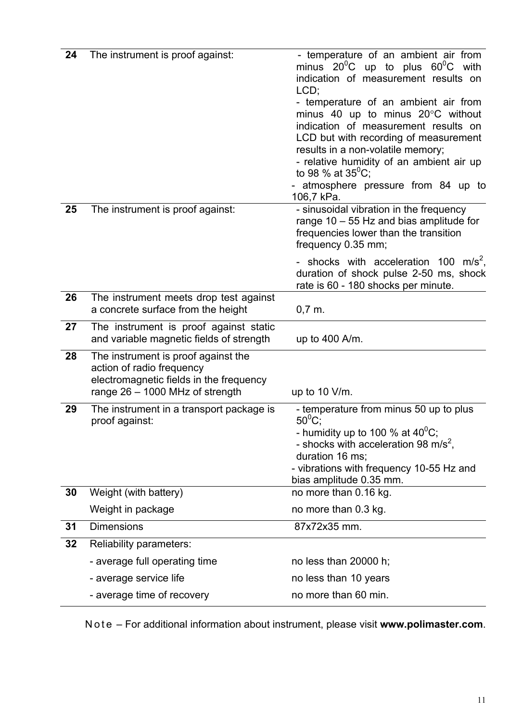| 24 | The instrument is proof against:                                 | - temperature of an ambient air from                                               |
|----|------------------------------------------------------------------|------------------------------------------------------------------------------------|
|    |                                                                  | minus $20^0C$ up to plus $60^0C$ with                                              |
|    |                                                                  | indication of measurement results on<br>LCD;                                       |
|    |                                                                  | - temperature of an ambient air from                                               |
|    |                                                                  | minus 40 up to minus $20^{\circ}$ C without                                        |
|    |                                                                  | indication of measurement results on                                               |
|    |                                                                  | LCD but with recording of measurement<br>results in a non-volatile memory;         |
|    |                                                                  | - relative humidity of an ambient air up                                           |
|    |                                                                  | to 98 % at $35^{\circ}$ C;                                                         |
|    |                                                                  | atmosphere pressure from 84 up to<br>106,7 kPa.                                    |
| 25 | The instrument is proof against:                                 | - sinusoidal vibration in the frequency                                            |
|    |                                                                  | range $10 - 55$ Hz and bias amplitude for<br>frequencies lower than the transition |
|    |                                                                  | frequency 0.35 mm;                                                                 |
|    |                                                                  | - shocks with acceleration 100 m/s <sup>2</sup> ,                                  |
|    |                                                                  | duration of shock pulse 2-50 ms, shock                                             |
| 26 | The instrument meets drop test against                           | rate is 60 - 180 shocks per minute.                                                |
|    | a concrete surface from the height                               | $0,7$ m.                                                                           |
| 27 | The instrument is proof against static                           |                                                                                    |
|    | and variable magnetic fields of strength                         | up to 400 A/m.                                                                     |
| 28 | The instrument is proof against the<br>action of radio frequency |                                                                                    |
|    | electromagnetic fields in the frequency                          |                                                                                    |
|    | range $26 - 1000$ MHz of strength                                | up to $10$ V/m.                                                                    |
| 29 | The instrument in a transport package is                         | - temperature from minus 50 up to plus                                             |
|    | proof against:                                                   | $50^0C$ ;<br>- humidity up to 100 % at $40^{\circ}$ C;                             |
|    |                                                                  | - shocks with acceleration 98 m/s <sup>2</sup> ,                                   |
|    |                                                                  | duration 16 ms:                                                                    |
|    |                                                                  | - vibrations with frequency 10-55 Hz and<br>bias amplitude 0.35 mm.                |
| 30 | Weight (with battery)                                            | no more than 0.16 kg.                                                              |
|    | Weight in package                                                | no more than 0.3 kg.                                                               |
| 31 | <b>Dimensions</b>                                                | 87x72x35 mm.                                                                       |
| 32 | Reliability parameters:                                          |                                                                                    |
|    | - average full operating time                                    | no less than 20000 h;                                                              |
|    | - average service life                                           | no less than 10 years                                                              |
|    | - average time of recovery                                       | no more than 60 min.                                                               |

N o t e – For additional information about instrument, please visit **www.polimaster.com**.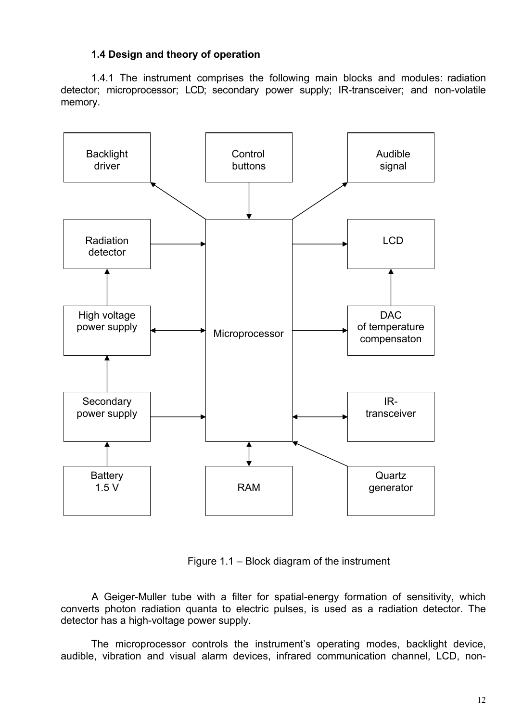## <span id="page-10-0"></span>**1.4 Design and theory of operation**

1.4.1 The instrument comprises the following main blocks and modules: radiation detector; microprocessor; LCD; secondary power supply; IR-transceiver; and non-volatile memory.



Figure 1.1 – Block diagram of the instrument

A Geiger-Muller tube with a filter for spatial-energy formation of sensitivity, which converts photon radiation quanta to electric pulses, is used as a radiation detector. The detector has a high-voltage power supply.

The microprocessor controls the instrument's operating modes, backlight device, audible, vibration and visual alarm devices, infrared communication channel, LCD, non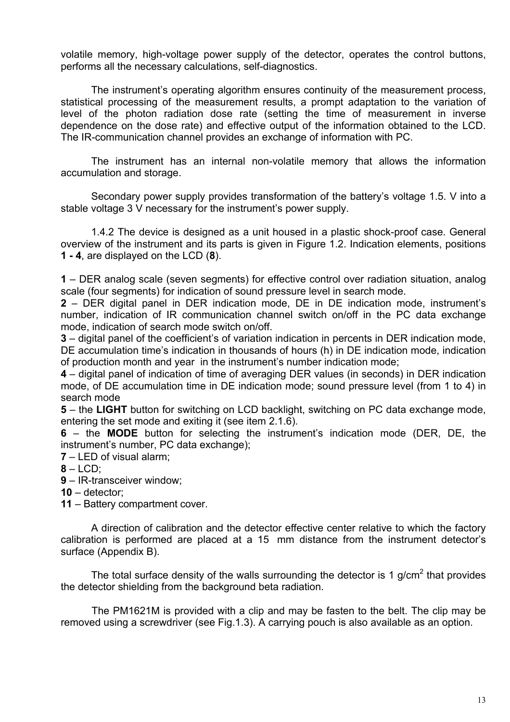volatile memory, high-voltage power supply of the detector, operates the control buttons, performs all the necessary calculations, self-diagnostics.

The instrument's operating algorithm ensures continuity of the measurement process, statistical processing of the measurement results, a prompt adaptation to the variation of level of the photon radiation dose rate (setting the time of measurement in inverse dependence on the dose rate) and effective output of the information obtained to the LCD. The IR-communication channel provides an exchange of information with PC.

The instrument has an internal non-volatile memory that allows the information accumulation and storage.

Secondary power supply provides transformation of the battery's voltage 1.5. V into a stable voltage 3 V necessary for the instrument's power supply.

1.4.2 The device is designed as a unit housed in a plastic shock-proof case. General overview of the instrument and its parts is given in Figure 1.2. Indication elements, positions **1 - 4**, are displayed on the LCD (**8**).

**1** – DER analog scale (seven segments) for effective control over radiation situation, analog scale (four segments) for indication of sound pressure level in search mode.

**2** – DER digital panel in DER indication mode, DE in DE indication mode, instrument's number, indication of IR communication channel switch on/off in the PC data exchange mode, indication of search mode switch on/off.

**3** – digital panel of the coefficient's of variation indication in percents in DER indication mode, DE accumulation time's indication in thousands of hours (h) in DE indication mode, indication of production month and year in the instrument's number indication mode;

**4** – digital panel of indication of time of averaging DER values (in seconds) in DER indication mode, of DE accumulation time in DE indication mode; sound pressure level (from 1 to 4) in search mode

**5** – the **LIGHT** button for switching on LCD backlight, switching on PC data exchange mode, entering the set mode and exiting it (see item 2.1.6).

**6** – the **MODE** button for selecting the instrument's indication mode (DER, DE, the instrument's number, PC data exchange);

**7** – LED of visual alarm;

**8** – LCD;

**9** – IR-transceiver window;

**10** – detector;

**11** – Battery compartment cover.

A direction of calibration and the detector effective center relative to which the factory calibration is performed are placed at a 15 mm distance from the instrument detector's surface (Appendix B).

The total surface density of the walls surrounding the detector is 1 g/cm<sup>2</sup> that provides the detector shielding from the background beta radiation.

The PM1621M is provided with a clip and may be fasten to the belt. The clip may be removed using a screwdriver (see Fig.1.3). A carrying pouch is also available as an option.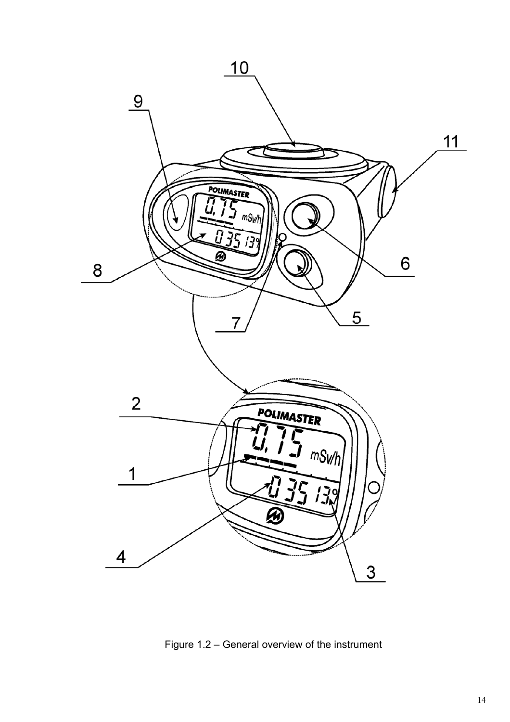

Figure 1.2 – General overview of the instrument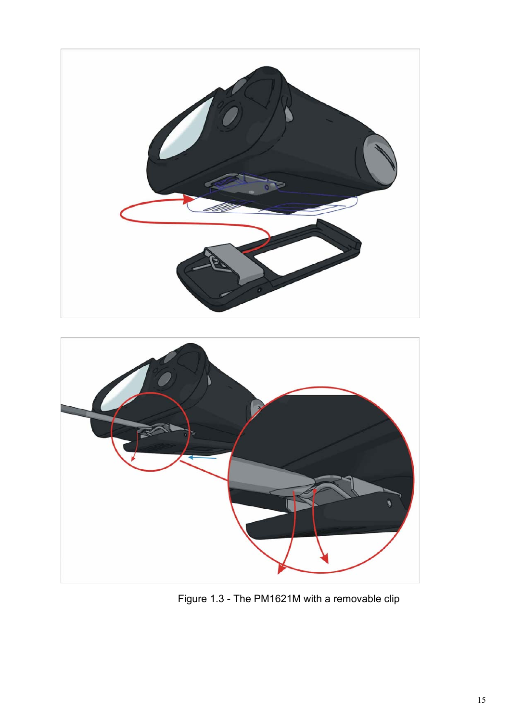



Figure 1.3 - The PM1621M with a removable clip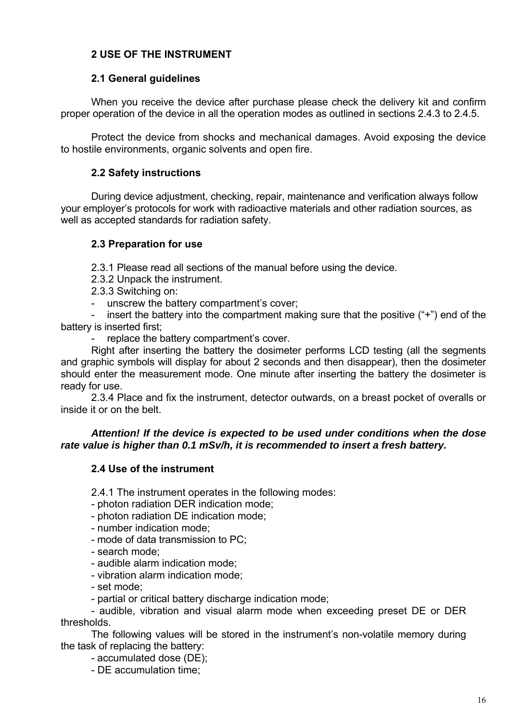## <span id="page-14-0"></span>**2 USE OF THE INSTRUMENT**

#### <span id="page-14-1"></span>**2.1 General guidelines**

When you receive the device after purchase please check the delivery kit and confirm proper operation of the device in all the operation modes as outlined in sections 2.4.3 to 2.4.5.

Protect the device from shocks and mechanical damages. Avoid exposing the device to hostile environments, organic solvents and open fire.

#### <span id="page-14-2"></span>**2.2 Safety instructions**

During device adjustment, checking, repair, maintenance and verification always follow your employer's protocols for work with radioactive materials and other radiation sources, as well as accepted standards for radiation safety.

#### <span id="page-14-3"></span>**2.3 Preparation for use**

2.3.1 Please read all sections of the manual before using the device.

2.3.2 Unpack the instrument.

- 2.3.3 Switching on:
- unscrew the battery compartment's cover;

- insert the battery into the compartment making sure that the positive ("+") end of the battery is inserted first;

replace the battery compartment's cover.

Right after inserting the battery the dosimeter performs LCD testing (all the segments and graphic symbols will display for about 2 seconds and then disappear), then the dosimeter should enter the measurement mode. One minute after inserting the battery the dosimeter is ready for use.

2.3.4 Place and fix the instrument, detector outwards, on a breast pocket of overalls or inside it or on the belt.

#### *Attention! If the device is expected to be used under conditions when the dose rate value is higher than 0.1 mSv/h, it is recommended to insert a fresh battery.*

#### <span id="page-14-4"></span>**2.4 Use of the instrument**

2.4.1 The instrument operates in the following modes:

- photon radiation DER indication mode;
- photon radiation DE indication mode;
- number indication mode;
- mode of data transmission to PC;
- search mode;
- audible alarm indication mode;
- vibration alarm indication mode;
- set mode;
- partial or critical battery discharge indication mode;

- audible, vibration and visual alarm mode when exceeding preset DE or DER thresholds.

The following values will be stored in the instrument's non-volatile memory during the task of replacing the battery:

- accumulated dose (DE);

- DE accumulation time;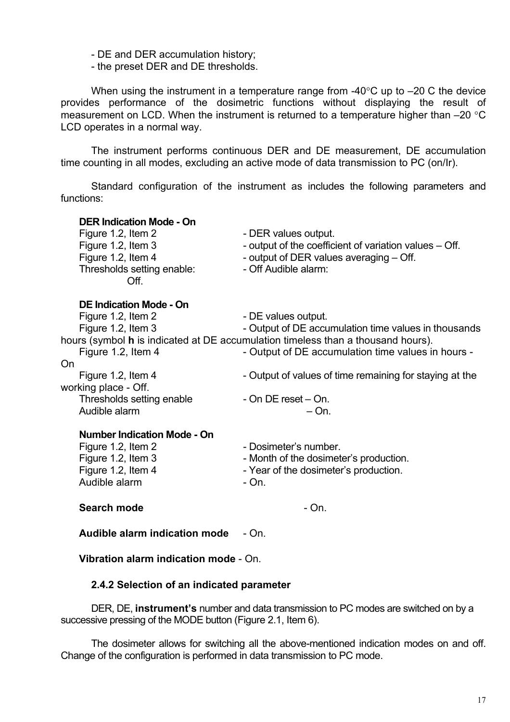- DE and DER accumulation history;

- the preset DER and DE thresholds.

When using the instrument in a temperature range from -40°С up to –20 С the device provides performance of the dosimetric functions without displaying the result of measurement on LCD. When the instrument is returned to a temperature higher than –20 °C LCD operates in a normal way.

The instrument performs continuous DER and DE measurement, DE accumulation time counting in all modes, excluding an active mode of data transmission to PC (on/Ir).

Standard configuration of the instrument as includes the following parameters and functions:

| <b>DER Indication Mode - On</b><br>Figure 1.2, Item 2<br>Figure 1.2, Item 3<br>Figure 1.2, Item 4<br>Thresholds setting enable:<br>Off. | - DER values output.<br>- output of the coefficient of variation values – Off.<br>- output of DER values averaging - Off.<br>- Off Audible alarm:                                                                     |
|-----------------------------------------------------------------------------------------------------------------------------------------|-----------------------------------------------------------------------------------------------------------------------------------------------------------------------------------------------------------------------|
| <b>DE Indication Mode - On</b><br>Figure 1.2, Item 2<br>Figure 1.2, Item 3<br>Figure 1.2, Item 4<br>On                                  | - DE values output.<br>- Output of DE accumulation time values in thousands<br>hours (symbol h is indicated at DE accumulation timeless than a thousand hours).<br>- Output of DE accumulation time values in hours - |
| Figure 1.2, Item 4<br>working place - Off.<br>Thresholds setting enable<br>Audible alarm                                                | - Output of values of time remaining for staying at the<br>- On DE reset – On.<br>$- On.$                                                                                                                             |
| <b>Number Indication Mode - On</b><br>Figure 1.2, Item 2<br>Figure 1.2, Item 3<br>Figure 1.2, Item 4<br>Audible alarm                   | - Dosimeter's number.<br>- Month of the dosimeter's production.<br>- Year of the dosimeter's production.<br>- On.                                                                                                     |
| Search mode                                                                                                                             | - On.                                                                                                                                                                                                                 |
| Audible alarm indication mode                                                                                                           | - On.                                                                                                                                                                                                                 |

# **2.4.2 Selection of an indicated parameter**

**Vibration alarm indication mode** - On.

DER, DE, **instrument's** number and data transmission to PC modes are switched on by a successive pressing of the MODE button (Figure 2.1, Item 6).

The dosimeter allows for switching all the above-mentioned indication modes on and off. Change of the configuration is performed in data transmission to PC mode.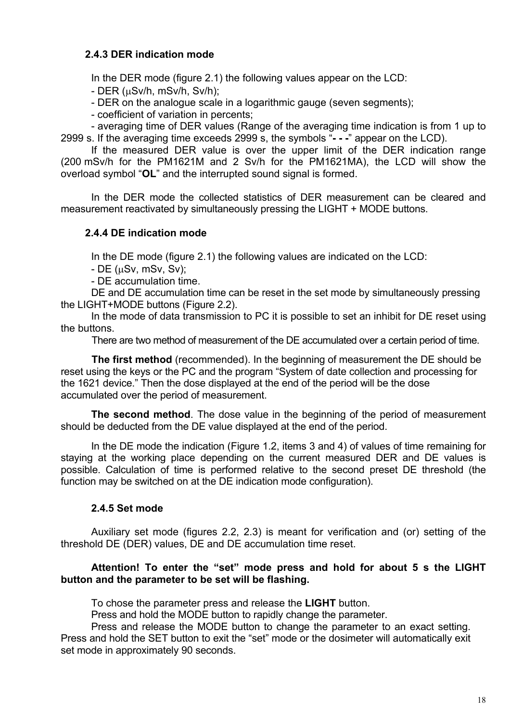## **2.4.3 DER indication mode**

In the DER mode (figure 2.1) the following values appear on the LCD:

- DER (µSv/h, mSv/h, Sv/h);

- DER on the analogue scale in a logarithmic gauge (seven segments);

- coefficient of variation in percents;

- averaging time of DER values (Range of the averaging time indication is from 1 up to 2999 s. If the averaging time exceeds 2999 s, the symbols "**- - -**" appear on the LCD).

If the measured DER value is over the upper limit of the DER indication range (200 mSv/h for the РМ1621M and 2 Sv/h for the РМ1621MА), the LCD will show the overload symbol "**OL**" and the interrupted sound signal is formed.

In the DER mode the collected statistics of DER measurement can be cleared and measurement reactivated by simultaneously pressing the LIGHT + MODE buttons.

## **2.4.4 DE indication mode**

In the DE mode (figure 2.1) the following values are indicated on the LCD:

 $-$  DE ( $\mu$ Sv, mSv, Sv);

- DE accumulation time.

DE and DE accumulation time can be reset in the set mode by simultaneously pressing the LIGHT+MODE buttons (Figure 2.2).

In the mode of data transmission to PC it is possible to set an inhibit for DE reset using the buttons.

There are two method of measurement of the DE accumulated over a certain period of time.

**The first method** (recommended). In the beginning of measurement the DE should be reset using the keys or the PC and the program "System of date collection and processing for the 1621 device." Then the dose displayed at the end of the period will be the dose accumulated over the period of measurement.

**The second method**. The dose value in the beginning of the period of measurement should be deducted from the DE value displayed at the end of the period.

In the DE mode the indication (Figure 1.2, items 3 and 4) of values of time remaining for staying at the working place depending on the current measured DER and DE values is possible. Calculation of time is performed relative to the second preset DE threshold (the function may be switched on at the DE indication mode configuration).

## **2.4.5 Set mode**

Auxiliary set mode (figures 2.2, 2.3) is meant for verification and (or) setting of the threshold DE (DER) values, DE and DE accumulation time reset.

#### **Attention! To enter the "set" mode press and hold for about 5 s the LIGHT button and the parameter to be set will be flashing.**

To chose the parameter press and release the **LIGHT** button.

Press and hold the MODE button to rapidly change the parameter.

Press and release the MODE button to change the parameter to an exact setting. Press and hold the SET button to exit the "set" mode or the dosimeter will automatically exit set mode in approximately 90 seconds.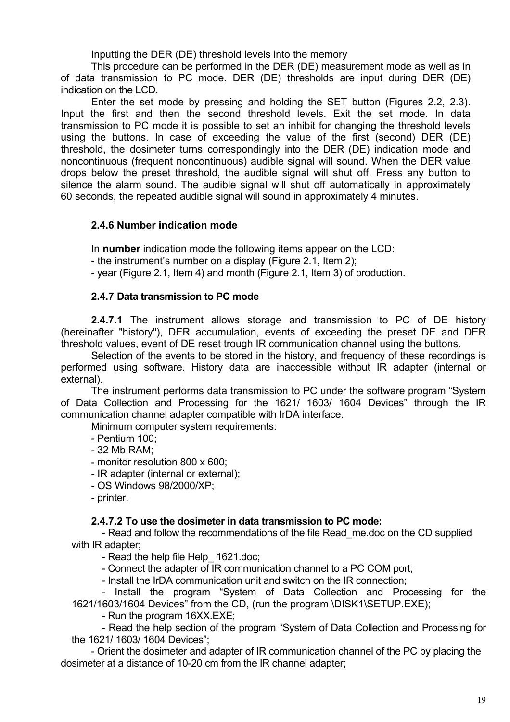Inputting the DER (DE) threshold levels into the memory

This procedure can be performed in the DER (DE) measurement mode as well as in of data transmission to PC mode. DER (DE) thresholds are input during DER (DE) indication on the LCD.

Enter the set mode by pressing and holding the SET button (Figures 2.2, 2.3). Input the first and then the second threshold levels. Exit the set mode. In data transmission to PC mode it is possible to set an inhibit for changing the threshold levels using the buttons. In case of exceeding the value of the first (second) DER (DE) threshold, the dosimeter turns correspondingly into the DER (DE) indication mode and noncontinuous (frequent noncontinuous) audible signal will sound. When the DER value drops below the preset threshold, the audible signal will shut off. Press any button to silence the alarm sound. The audible signal will shut off automatically in approximately 60 seconds, the repeated audible signal will sound in approximately 4 minutes.

## **2.4.6 Number indication mode**

In **number** indication mode the following items appear on the LCD:

- the instrument's number on a display (Figure 2.1, Item 2);

- year (Figure 2.1, Item 4) and month (Figure 2.1, Item 3) of production.

## **2.4.7 Data transmission to PC mode**

**2.4.7.1** The instrument allows storage and transmission to PC of DE history (hereinafter "history"), DER accumulation, events of exceeding the preset DE and DER threshold values, event of DE reset trough IR communication channel using the buttons.

Selection of the events to be stored in the history, and frequency of these recordings is performed using software. History data are inaccessible without IR adapter (internal or external).

The instrument performs data transmission to PC under the software program "System of Data Collection and Processing for the 1621/ 1603/ 1604 Devices" through the IR communication channel adapter compatible with IrDA interface.

Minimum computer system requirements:

- Pentium 100;

- 32 Mb RAM;

- monitor resolution 800 x 600;
- IR adapter (internal or external);
- OS Windows 98/2000/XP;
- printer.

## **2.4.7.2 To use the dosimeter in data transmission to PC mode:**

- Read and follow the recommendations of the file Read\_me.doc on the CD supplied with IR adapter;

- Read the help file Help 1621.doc;

- Connect the adapter of IR communication channel to a PC COM port;

- Install the IrDA communication unit and switch on the IR connection;

- Install the program "System of Data Collection and Processing for the 1621/1603/1604 Devices" from the CD, (run the program \DISK1\SETUP.EXE);

- Run the program 16XX.EXE;

- Read the help section of the program "System of Data Collection and Processing for the 1621/ 1603/ 1604 Devices";

- Orient the dosimeter and adapter of IR communication channel of the PC by placing the dosimeter at a distance of 10-20 cm from the IR channel adapter;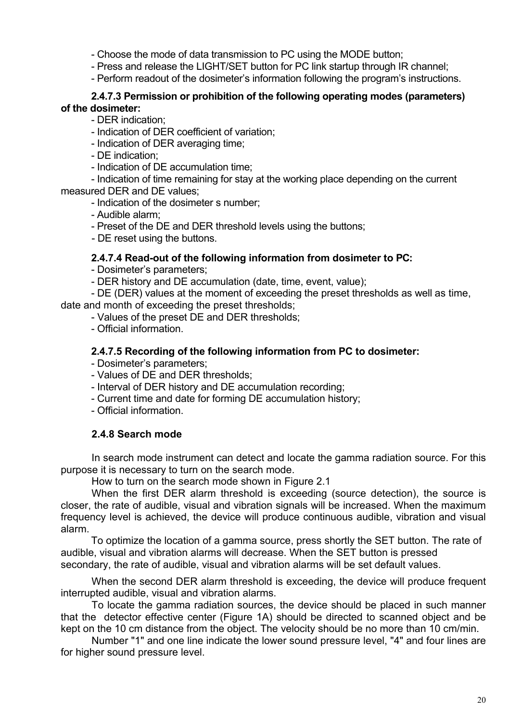- Choose the mode of data transmission to PC using the MODE button;

- Press and release the LIGHT/SET button for PC link startup through IR channel;

- Perform readout of the dosimeter's information following the program's instructions.

#### **2.4.7.3 Permission or prohibition of the following operating modes (parameters) of the dosimeter:**

- DER indication;

- Indication of DER coefficient of variation;

- Indication of DER averaging time;

- DE indication;

- Indication of DE accumulation time;

- Indication of time remaining for stay at the working place depending on the current measured DER and DE values;

- Indication of the dosimeter s number;

- Audible alarm;

- Preset of the DE and DER threshold levels using the buttons;

- DE reset using the buttons.

## **2.4.7.4 Read-out of the following information from dosimeter to PC:**

- Dosimeter's parameters;

- DER history and DE accumulation (date, time, event, value);

- DE (DER) values at the moment of exceeding the preset thresholds as well as time, date and month of exceeding the preset thresholds;

- Values of the preset DE and DER thresholds;

- Official information.

## **2.4.7.5 Recording of the following information from PC to dosimeter:**

- Dosimeter's parameters;

- Values of DE and DER thresholds;

- Interval of DER history and DE accumulation recording;

- Current time and date for forming DE accumulation history;

- Official information.

## **2.4.8 Search mode**

In search mode instrument can detect and locate the gamma radiation source. For this purpose it is necessary to turn on the search mode.

How to turn on the search mode shown in Figure 2.1

When the first DER alarm threshold is exceeding (source detection), the source is closer, the rate of audible, visual and vibration signals will be increased. When the maximum frequency level is achieved, the device will produce continuous audible, vibration and visual alarm.

To optimize the location of a gamma source, press shortly the SET button. The rate of audible, visual and vibration alarms will decrease. When the SET button is pressed secondary, the rate of audible, visual and vibration alarms will be set default values.

When the second DER alarm threshold is exceeding, the device will produce frequent interrupted audible, visual and vibration alarms.

To locate the gamma radiation sources, the device should be placed in such manner that the detector effective center (Figure 1A) should be directed to scanned object and be kept on the 10 cm distance from the object. The velocity should be no more than 10 cm/min.

Number "1" and one line indicate the lower sound pressure level, "4" and four lines are for higher sound pressure level.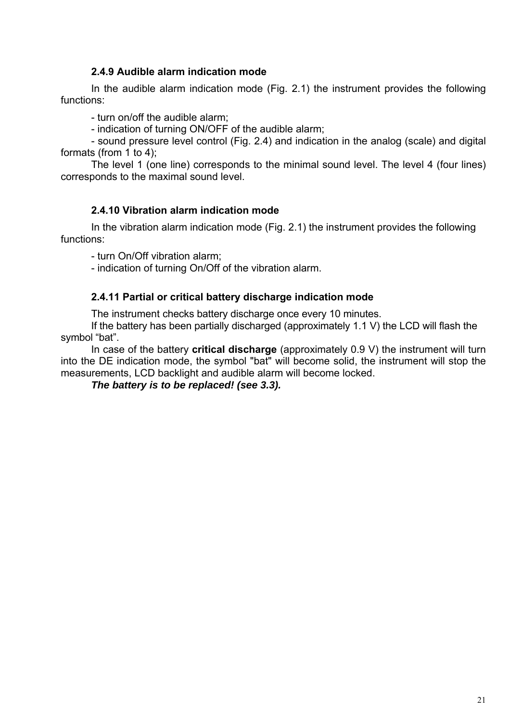## **2.4.9 Audible alarm indication mode**

In the audible alarm indication mode (Fig. 2.1) the instrument provides the following functions:

- turn on/off the audible alarm;

- indication of turning ON/OFF of the audible alarm;

- sound pressure level control (Fig. 2.4) and indication in the analog (scale) and digital formats (from 1 to 4);

The level 1 (one line) corresponds to the minimal sound level. The level 4 (four lines) corresponds to the maximal sound level.

## **2.4.10 Vibration alarm indication mode**

In the vibration alarm indication mode (Fig. 2.1) the instrument provides the following functions:

- turn On/Off vibration alarm;

- indication of turning On/Off of the vibration alarm.

#### **2.4.11 Partial or critical battery discharge indication mode**

The instrument checks battery discharge once every 10 minutes.

If the battery has been partially discharged (approximately 1.1 V) the LCD will flash the symbol "bat".

In case of the battery **critical discharge** (approximately 0.9 V) the instrument will turn into the DE indication mode, the symbol "bat" will become solid, the instrument will stop the measurements, LCD backlight and audible alarm will become locked.

*The battery is to be replaced! (see 3.3).*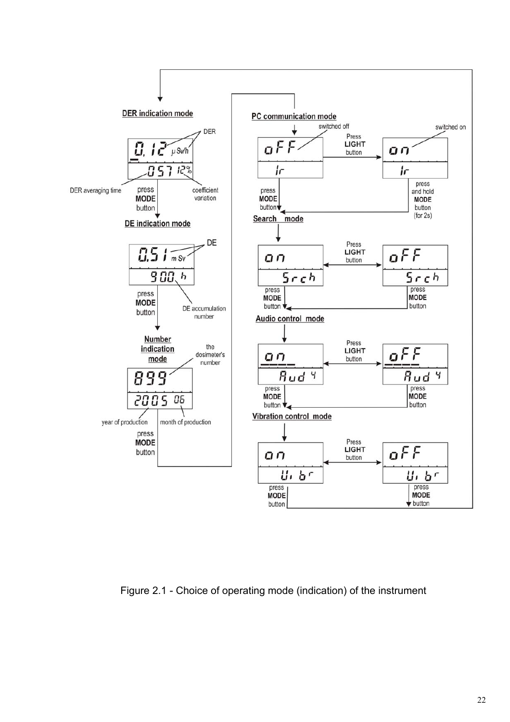

Figure 2.1 - Choice of operating mode (indication) of the instrument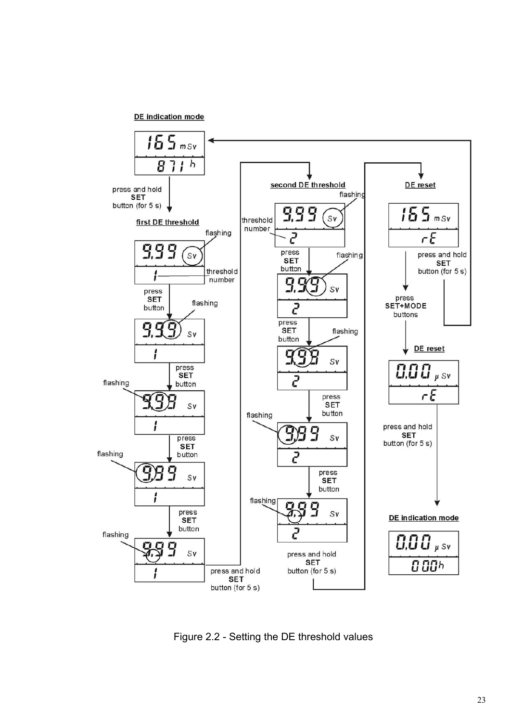DE indication mode



Figure 2.2 - Setting the DE threshold values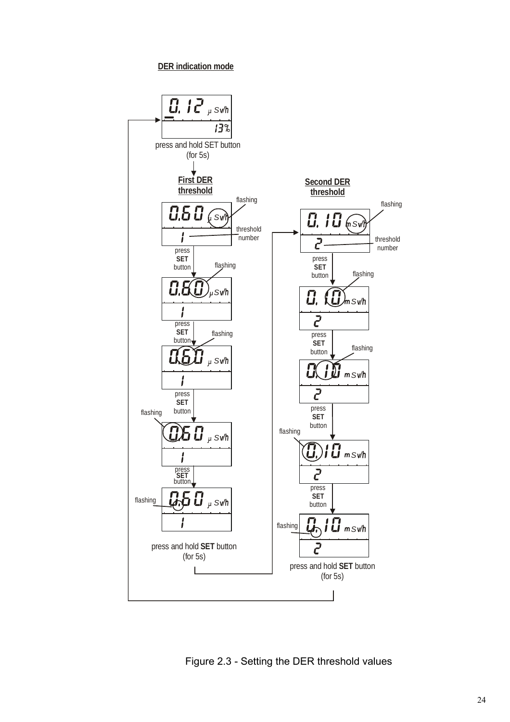**DER indication mode**



Figure 2.3 - Setting the DER threshold values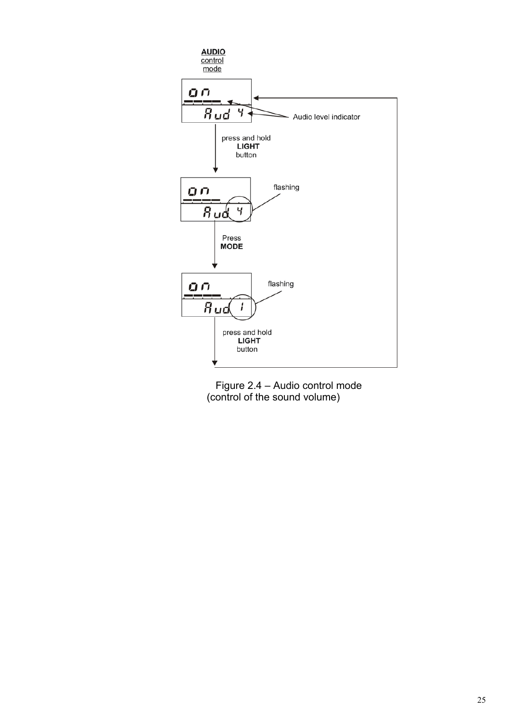

Figure 2.4 – Audio control mode (control of the sound volume)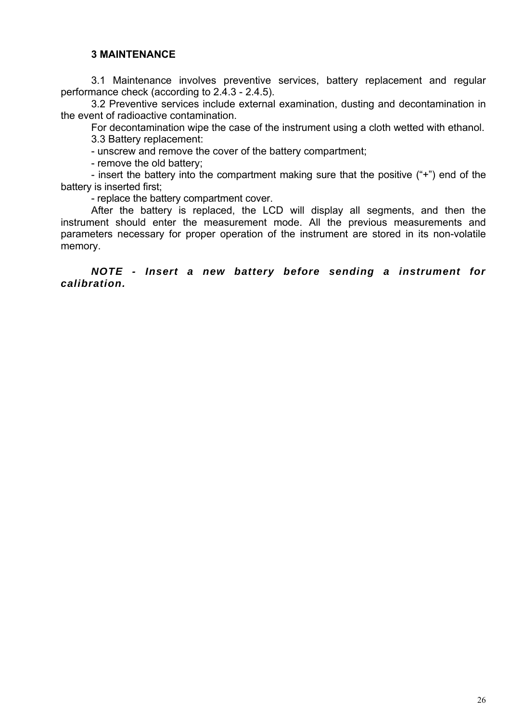## <span id="page-24-0"></span>**3 MAINTENANCE**

3.1 Maintenance involves preventive services, battery replacement and regular performance check (according to 2.4.3 - 2.4.5).

3.2 Preventive services include external examination, dusting and decontamination in the event of radioactive contamination.

For decontamination wipe the case of the instrument using a cloth wetted with ethanol.

3.3 Battery replacement:

- unscrew and remove the cover of the battery compartment;

- remove the old battery;

- insert the battery into the compartment making sure that the positive ("+") end of the battery is inserted first;

- replace the battery compartment cover.

After the battery is replaced, the LCD will display all segments, and then the instrument should enter the measurement mode. All the previous measurements and parameters necessary for proper operation of the instrument are stored in its non-volatile memory.

*NOTE - Insert a new battery before sending a instrument for calibration.*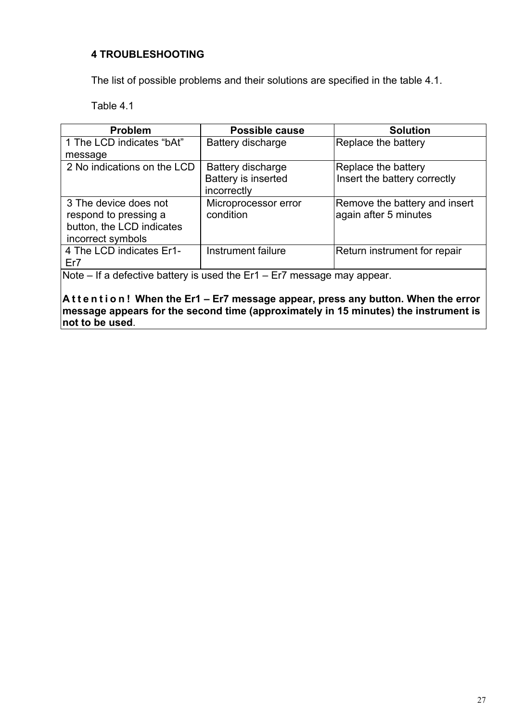## <span id="page-25-0"></span>**4 TROUBLESHOOTING**

The list of possible problems and their solutions are specified in the table 4.1.

Table 4.1

| <b>Problem</b>                                              | <b>Possible cause</b>         | <b>Solution</b>               |  |  |  |  |  |
|-------------------------------------------------------------|-------------------------------|-------------------------------|--|--|--|--|--|
| 1 The LCD indicates "bAt"                                   | Battery discharge             | Replace the battery           |  |  |  |  |  |
| message                                                     |                               |                               |  |  |  |  |  |
| 2 No indications on the LCD                                 | <b>Battery discharge</b>      | Replace the battery           |  |  |  |  |  |
|                                                             | Battery is inserted           | Insert the battery correctly  |  |  |  |  |  |
|                                                             | incorrectly                   |                               |  |  |  |  |  |
| 3 The device does not                                       | Microprocessor error          | Remove the battery and insert |  |  |  |  |  |
| respond to pressing a                                       | condition                     | again after 5 minutes         |  |  |  |  |  |
| button, the LCD indicates                                   |                               |                               |  |  |  |  |  |
| incorrect symbols                                           |                               |                               |  |  |  |  |  |
| 4 The LCD indicates Er1-                                    | Instrument failure            | Return instrument for repair  |  |  |  |  |  |
| Er7                                                         |                               |                               |  |  |  |  |  |
| $N = 1 -$<br>If a defective bettery is used the $\Gamma$ of | F-7 --------- --------------- |                               |  |  |  |  |  |

Note – If a defective battery is used the Er1 – Er7 message may appear.

**A t t e n t i o n ! When the Er1 – Er7 message appear, press any button. When the error message appears for the second time (approximately in 15 minutes) the instrument is not to be used**.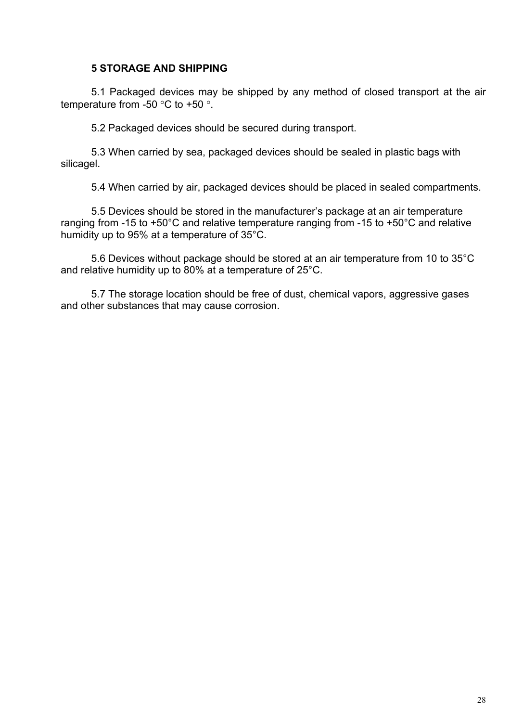## <span id="page-26-0"></span>**5 STORAGE AND SHIPPING**

5.1 Packaged devices may be shipped by any method of closed transport at the air temperature from -50 °C to +50 °.

5.2 Packaged devices should be secured during transport.

5.3 When carried by sea, packaged devices should be sealed in plastic bags with silicagel.

5.4 When carried by air, packaged devices should be placed in sealed compartments.

5.5 Devices should be stored in the manufacturer's package at an air temperature ranging from -15 to +50°C and relative temperature ranging from -15 to +50°C and relative humidity up to 95% at a temperature of 35°C.

5.6 Devices without package should be stored at an air temperature from 10 to 35°C and relative humidity up to 80% at a temperature of 25°C.

5.7 The storage location should be free of dust, chemical vapors, aggressive gases and other substances that may cause corrosion.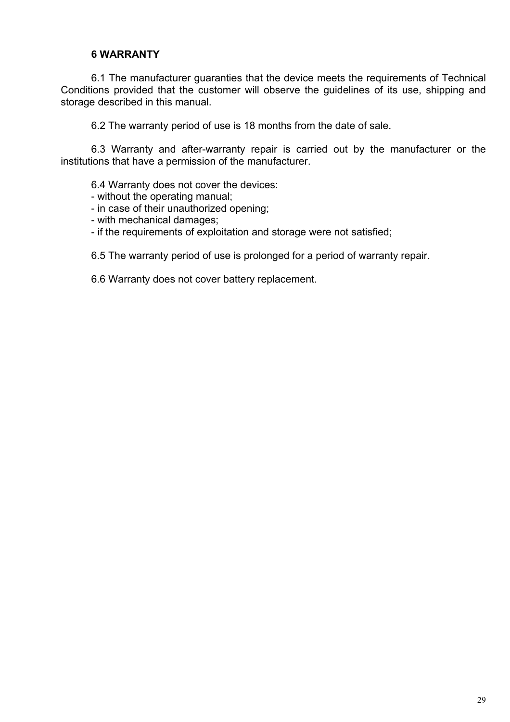## <span id="page-27-0"></span>**6 WARRANTY**

6.1 The manufacturer guaranties that the device meets the requirements of Technical Conditions provided that the customer will observe the guidelines of its use, shipping and storage described in this manual.

6.2 The warranty period of use is 18 months from the date of sale.

6.3 Warranty and after-warranty repair is carried out by the manufacturer or the institutions that have a permission of the manufacturer.

6.4 Warranty does not cover the devices:

- without the operating manual;

- in case of their unauthorized opening;
- with mechanical damages;
- if the requirements of exploitation and storage were not satisfied;

6.5 The warranty period of use is prolonged for a period of warranty repair.

6.6 Warranty does not cover battery replacement.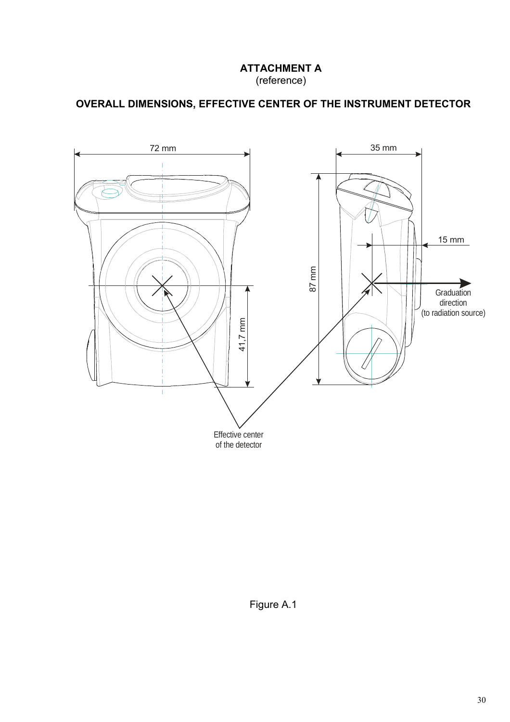## **ATTACHMENT A**  (reference)

## **OVERALL DIMENSIONS, EFFECTIVE CENTER OF THE INSTRUMENT DETECTOR**



Figure A.1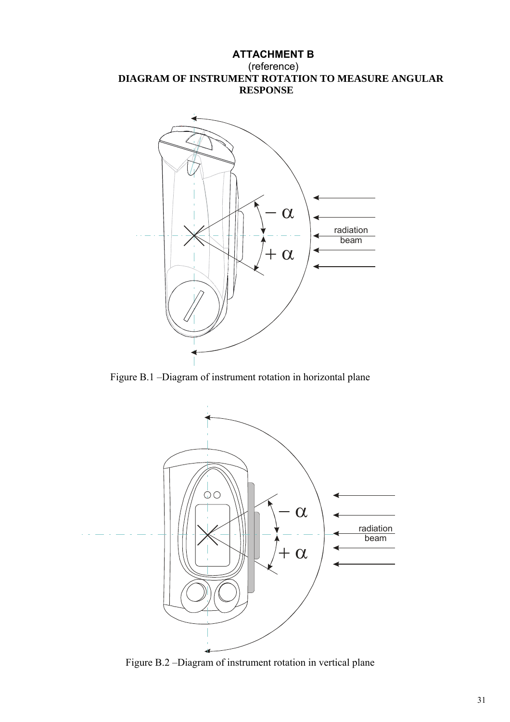## **ATTACHMENT B**  (reference) **DIAGRAM OF INSTRUMENT ROTATION TO MEASURE ANGULAR RESPONSE**



Figure B.1 –Diagram of instrument rotation in horizontal plane



Figure B.2 –Diagram of instrument rotation in vertical plane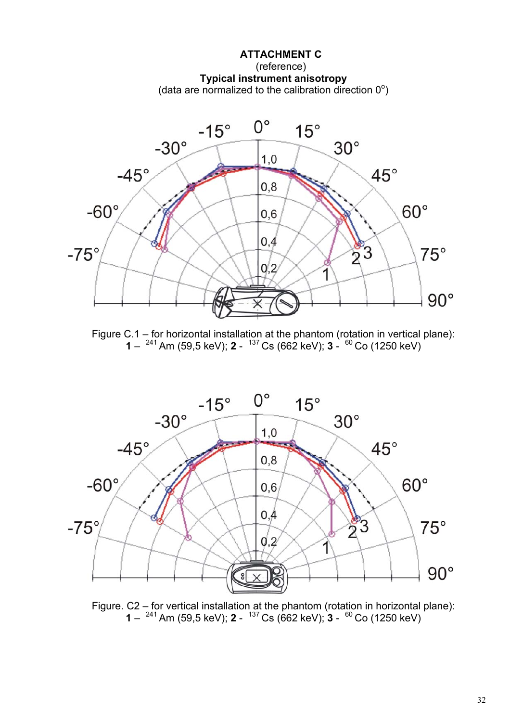

Figure C.1 – for horizontal installation at the phantom (rotation in vertical plane): **1** – 241 Am (59,5 keV); **2** - 137 Cs (662 keV); **3** - 60 Co (1250 keV)



Figure. C2 – for vertical installation at the phantom (rotation in horizontal plane): **1** – 241 Am (59,5 keV); **2** - 137 Cs (662 keV); **3** - 60 Co (1250 keV)